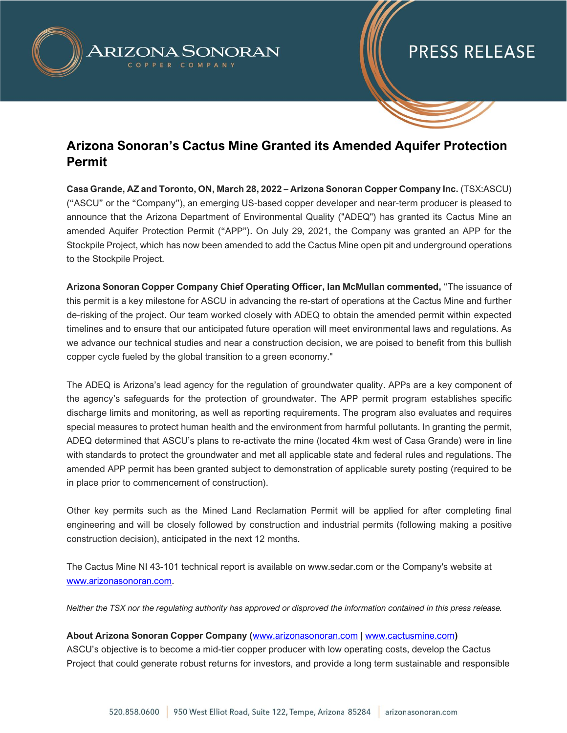

## **PRESS RELEASE**

### **Arizona Sonoran's Cactus Mine Granted its Amended Aquifer Protection Permit**

**Casa Grande, AZ and Toronto, ON, March 28, 2022 – Arizona Sonoran Copper Company Inc.** (TSX:ASCU) ("ASCU" or the "Company"), an emerging US-based copper developer and near-term producer is pleased to announce that the Arizona Department of Environmental Quality ("ADEQ") has granted its Cactus Mine an amended Aquifer Protection Permit ("APP"). On July 29, 2021, the Company was granted an APP for the Stockpile Project, which has now been amended to add the Cactus Mine open pit and underground operations to the Stockpile Project.

**Arizona Sonoran Copper Company Chief Operating Officer, Ian McMullan commented,** "The issuance of this permit is a key milestone for ASCU in advancing the re-start of operations at the Cactus Mine and further de-risking of the project. Our team worked closely with ADEQ to obtain the amended permit within expected timelines and to ensure that our anticipated future operation will meet environmental laws and regulations. As we advance our technical studies and near a construction decision, we are poised to benefit from this bullish copper cycle fueled by the global transition to a green economy."

The ADEQ is Arizona's lead agency for the regulation of groundwater quality. APPs are a key component of the agency's safeguards for the protection of groundwater. The APP permit program establishes specific discharge limits and monitoring, as well as reporting requirements. The program also evaluates and requires special measures to protect human health and the environment from harmful pollutants. In granting the permit, ADEQ determined that ASCU's plans to re-activate the mine (located 4km west of Casa Grande) were in line with standards to protect the groundwater and met all applicable state and federal rules and regulations. The amended APP permit has been granted subject to demonstration of applicable surety posting (required to be in place prior to commencement of construction).

Other key permits such as the Mined Land Reclamation Permit will be applied for after completing final engineering and will be closely followed by construction and industrial permits (following making a positive construction decision), anticipated in the next 12 months.

The Cactus Mine NI 43-101 technical report is available on www.sedar.com or the Company's website at [www.arizonasonoran.com.](http://www.arizonasonoran.com/)

*Neither the TSX nor the regulating authority has approved or disproved the information contained in this press release.* 

### **About Arizona Sonoran Copper Company (**[www.arizonasonoran.com](http://www.arizonasonoran.com/) **|** [www.cactusmine.com](http://www.cactusmine.com/)**)**

ASCU's objective is to become a mid-tier copper producer with low operating costs, develop the Cactus Project that could generate robust returns for investors, and provide a long term sustainable and responsible